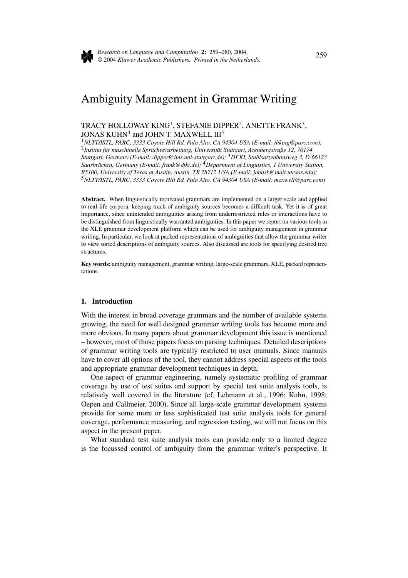

*Research on Language and Computation* **2:** 259–280, 2004. © 2004 *Kluwer Academic Publishers. Printed in the Netherlands.* <sup>259</sup>

# Ambiguity Management in Grammar Writing

# TRACY HOLLOWAY KING<sup>1</sup>, STEFANIE DIPPER<sup>2</sup>, ANETTE FRANK<sup>3</sup>, JONAS KUHN<sup>4</sup> and JOHN T. MAXWELL III<sup>5</sup>

<sup>1</sup>*NLTT/ISTL, PARC, 3333 Coyote Hill Rd, Palo Alto, CA 94304 USA (E-mail: thking@parc.com);* <sup>2</sup>*Institut für maschinelle Sprachverarbeitung, Universität Stuttgart, Azenbergstraße 12, 70174 Stuttgart, Germany (E-mail: dipper@ims.uni-stuttgart.de);* <sup>3</sup>*DFKI, Stuhlsatzenhausweg 3, D-66123 Saarbrücken, Germany (E-mail: frank@dfki.de);* <sup>4</sup>*Department of Linguistics, 1 University Station, B5100, University of Texas at Austin, Austin, TX 78712 USA (E-mail: jonask@mait.utexas.edu);* <sup>5</sup>*NLTT/ISTL, PARC, 3333 Coyote Hill Rd, Palo Alto, CA 94304 USA (E-mail: maxwell@parc.com)*

**Abstract.** When linguistically motivated grammars are implemented on a larger scale and applied to real-life corpora, keeping track of ambiguity sources becomes a difficult task. Yet it is of great importance, since unintended ambiguities arising from underrestricted rules or interactions have to be distinguished from linguistically warranted ambiguities. In this paper we report on various tools in the XLE grammar development platform which can be used for ambiguity management in grammar writing. In particular, we look at packed representations of ambiguities that allow the grammar writer to view sorted descriptions of ambiguity sources. Also discussed are tools for specifying desired tree structures.

**Key words:** ambiguity management, grammar writing, large-scale grammars, XLE, packed representations

#### **1. Introduction**

With the interest in broad coverage grammars and the number of available systems growing, the need for well designed grammar writing tools has become more and more obvious. In many papers about grammar development this issue is mentioned – however, most of those papers focus on parsing techniques. Detailed descriptions of grammar writing tools are typically restricted to user manuals. Since manuals have to cover all options of the tool, they cannot address special aspects of the tools and appropriate grammar development techniques in depth.

One aspect of grammar engineering, namely systematic profiling of grammar coverage by use of test suites and support by special test suite analysis tools, is relatively well covered in the literature (cf. Lehmann et al., 1996; Kuhn, 1998; Oepen and Callmeier, 2000). Since all large-scale grammar development systems provide for some more or less sophisticated test suite analysis tools for general coverage, performance measuring, and regression testing, we will not focus on this aspect in the present paper.

What standard test suite analysis tools can provide only to a limited degree is the focussed control of ambiguity from the grammar writer's perspective. It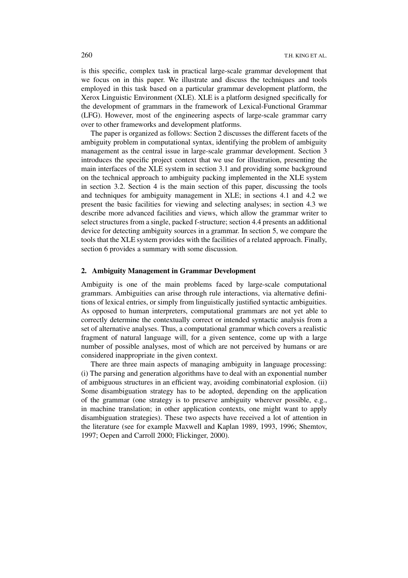is this specific, complex task in practical large-scale grammar development that we focus on in this paper. We illustrate and discuss the techniques and tools employed in this task based on a particular grammar development platform, the Xerox Linguistic Environment (XLE). XLE is a platform designed specifically for the development of grammars in the framework of Lexical-Functional Grammar (LFG). However, most of the engineering aspects of large-scale grammar carry over to other frameworks and development platforms.

The paper is organized as follows: Section 2 discusses the different facets of the ambiguity problem in computational syntax, identifying the problem of ambiguity management as the central issue in large-scale grammar development. Section 3 introduces the specific project context that we use for illustration, presenting the main interfaces of the XLE system in section 3.1 and providing some background on the technical approach to ambiguity packing implemented in the XLE system in section 3.2. Section 4 is the main section of this paper, discussing the tools and techniques for ambiguity management in XLE; in sections 4.1 and 4.2 we present the basic facilities for viewing and selecting analyses; in section 4.3 we describe more advanced facilities and views, which allow the grammar writer to select structures from a single, packed f-structure; section 4.4 presents an additional device for detecting ambiguity sources in a grammar. In section 5, we compare the tools that the XLE system provides with the facilities of a related approach. Finally, section 6 provides a summary with some discussion.

#### **2. Ambiguity Management in Grammar Development**

Ambiguity is one of the main problems faced by large-scale computational grammars. Ambiguities can arise through rule interactions, via alternative definitions of lexical entries, or simply from linguistically justified syntactic ambiguities. As opposed to human interpreters, computational grammars are not yet able to correctly determine the contextually correct or intended syntactic analysis from a set of alternative analyses. Thus, a computational grammar which covers a realistic fragment of natural language will, for a given sentence, come up with a large number of possible analyses, most of which are not perceived by humans or are considered inappropriate in the given context.

There are three main aspects of managing ambiguity in language processing: (i) The parsing and generation algorithms have to deal with an exponential number of ambiguous structures in an efficient way, avoiding combinatorial explosion. (ii) Some disambiguation strategy has to be adopted, depending on the application of the grammar (one strategy is to preserve ambiguity wherever possible, e.g., in machine translation; in other application contexts, one might want to apply disambiguation strategies). These two aspects have received a lot of attention in the literature (see for example Maxwell and Kaplan 1989, 1993, 1996; Shemtov, 1997; Oepen and Carroll 2000; Flickinger, 2000).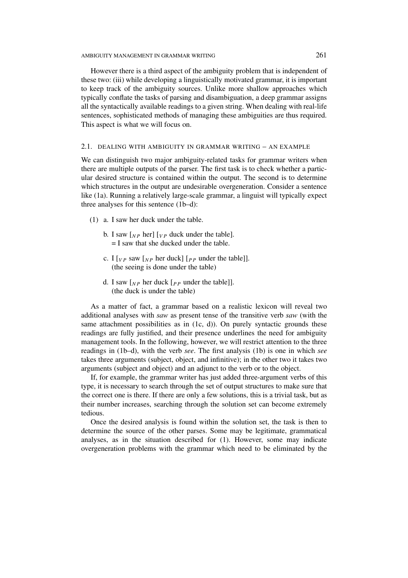However there is a third aspect of the ambiguity problem that is independent of these two: (iii) while developing a linguistically motivated grammar, it is important to keep track of the ambiguity sources. Unlike more shallow approaches which typically conflate the tasks of parsing and disambiguation, a deep grammar assigns all the syntactically available readings to a given string. When dealing with real-life sentences, sophisticated methods of managing these ambiguities are thus required. This aspect is what we will focus on.

## 2.1. DEALING WITH AMBIGUITY IN GRAMMAR WRITING – AN EXAMPLE

We can distinguish two major ambiguity-related tasks for grammar writers when there are multiple outputs of the parser. The first task is to check whether a particular desired structure is contained within the output. The second is to determine which structures in the output are undesirable overgeneration. Consider a sentence like (1a). Running a relatively large-scale grammar, a linguist will typically expect three analyses for this sentence (1b–d):

- (1) a. I saw her duck under the table.
	- b. I saw  $[N_P \text{ her}]\left[\sqrt{VP} \text{ duck under the table}\right]$ . = I saw that she ducked under the table.
	- c. I  $\left[ \gamma_P \text{ saw} \left[ \gamma_P \text{ her duck} \right] \left[ \gamma_P \text{ under the table} \right] \right]$ . (the seeing is done under the table)
	- d. I saw  $\left[_{NP}\right]$  her duck  $\left[_{PP}\right]$  under the table]]. (the duck is under the table)

As a matter of fact, a grammar based on a realistic lexicon will reveal two additional analyses with *saw* as present tense of the transitive verb *saw* (with the same attachment possibilities as in (1c, d)). On purely syntactic grounds these readings are fully justified, and their presence underlines the need for ambiguity management tools. In the following, however, we will restrict attention to the three readings in (1b–d), with the verb *see*. The first analysis (1b) is one in which *see* takes three arguments (subject, object, and infinitive); in the other two it takes two arguments (subject and object) and an adjunct to the verb or to the object.

If, for example, the grammar writer has just added three-argument verbs of this type, it is necessary to search through the set of output structures to make sure that the correct one is there. If there are only a few solutions, this is a trivial task, but as their number increases, searching through the solution set can become extremely tedious.

Once the desired analysis is found within the solution set, the task is then to determine the source of the other parses. Some may be legitimate, grammatical analyses, as in the situation described for (1). However, some may indicate overgeneration problems with the grammar which need to be eliminated by the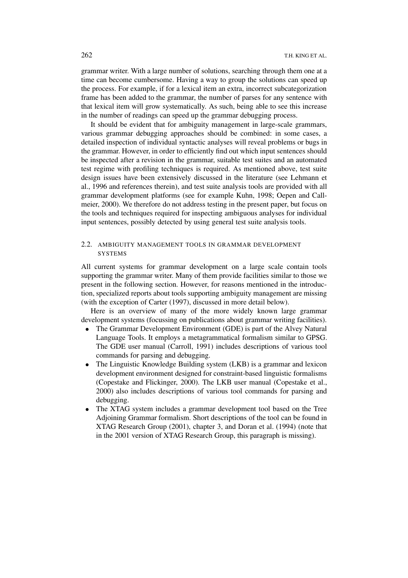grammar writer. With a large number of solutions, searching through them one at a time can become cumbersome. Having a way to group the solutions can speed up the process. For example, if for a lexical item an extra, incorrect subcategorization frame has been added to the grammar, the number of parses for any sentence with that lexical item will grow systematically. As such, being able to see this increase in the number of readings can speed up the grammar debugging process.

It should be evident that for ambiguity management in large-scale grammars, various grammar debugging approaches should be combined: in some cases, a detailed inspection of individual syntactic analyses will reveal problems or bugs in the grammar. However, in order to efficiently find out which input sentences should be inspected after a revision in the grammar, suitable test suites and an automated test regime with profiling techniques is required. As mentioned above, test suite design issues have been extensively discussed in the literature (see Lehmann et al., 1996 and references therein), and test suite analysis tools are provided with all grammar development platforms (see for example Kuhn, 1998; Oepen and Callmeier, 2000). We therefore do not address testing in the present paper, but focus on the tools and techniques required for inspecting ambiguous analyses for individual input sentences, possibly detected by using general test suite analysis tools.

## 2.2. AMBIGUITY MANAGEMENT TOOLS IN GRAMMAR DEVELOPMENT **SYSTEMS**

All current systems for grammar development on a large scale contain tools supporting the grammar writer. Many of them provide facilities similar to those we present in the following section. However, for reasons mentioned in the introduction, specialized reports about tools supporting ambiguity management are missing (with the exception of Carter (1997), discussed in more detail below).

Here is an overview of many of the more widely known large grammar development systems (focussing on publications about grammar writing facilities).

- The Grammar Development Environment (GDE) is part of the Alvey Natural Language Tools. It employs a metagrammatical formalism similar to GPSG. The GDE user manual (Carroll, 1991) includes descriptions of various tool commands for parsing and debugging.
- The Linguistic Knowledge Building system (LKB) is a grammar and lexicon development environment designed for constraint-based linguistic formalisms (Copestake and Flickinger, 2000). The LKB user manual (Copestake et al., 2000) also includes descriptions of various tool commands for parsing and debugging.
- The XTAG system includes a grammar development tool based on the Tree Adjoining Grammar formalism. Short descriptions of the tool can be found in XTAG Research Group (2001), chapter 3, and Doran et al. (1994) (note that in the 2001 version of XTAG Research Group, this paragraph is missing).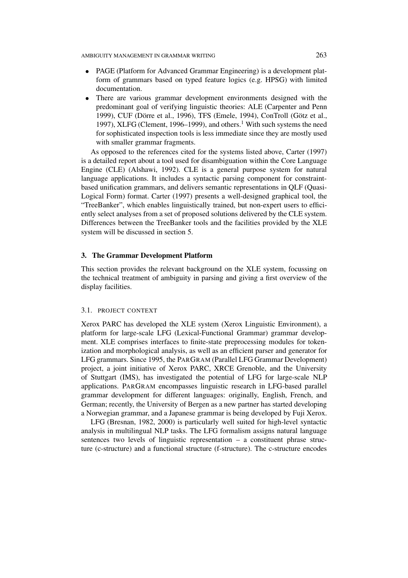AMBIGUITY MANAGEMENT IN GRAMMAR WRITING 263

- PAGE (Platform for Advanced Grammar Engineering) is a development platform of grammars based on typed feature logics (e.g. HPSG) with limited documentation.
- There are various grammar development environments designed with the predominant goal of verifying linguistic theories: ALE (Carpenter and Penn 1999), CUF (Dörre et al., 1996), TFS (Emele, 1994), ConTroll (Götz et al., 1997), XLFG (Clement, 1996–1999), and others.<sup>1</sup> With such systems the need for sophisticated inspection tools is less immediate since they are mostly used with smaller grammar fragments.

As opposed to the references cited for the systems listed above, Carter (1997) is a detailed report about a tool used for disambiguation within the Core Language Engine (CLE) (Alshawi, 1992). CLE is a general purpose system for natural language applications. It includes a syntactic parsing component for constraintbased unification grammars, and delivers semantic representations in QLF (Quasi-Logical Form) format. Carter (1997) presents a well-designed graphical tool, the "TreeBanker", which enables linguistically trained, but non-expert users to efficiently select analyses from a set of proposed solutions delivered by the CLE system. Differences between the TreeBanker tools and the facilities provided by the XLE system will be discussed in section 5.

## **3. The Grammar Development Platform**

This section provides the relevant background on the XLE system, focussing on the technical treatment of ambiguity in parsing and giving a first overview of the display facilities.

## 3.1. PROJECT CONTEXT

Xerox PARC has developed the XLE system (Xerox Linguistic Environment), a platform for large-scale LFG (Lexical-Functional Grammar) grammar development. XLE comprises interfaces to finite-state preprocessing modules for tokenization and morphological analysis, as well as an efficient parser and generator for LFG grammars. Since 1995, the PARGRAM (Parallel LFG Grammar Development) project, a joint initiative of Xerox PARC, XRCE Grenoble, and the University of Stuttgart (IMS), has investigated the potential of LFG for large-scale NLP applications. PARGRAM encompasses linguistic research in LFG-based parallel grammar development for different languages: originally, English, French, and German; recently, the University of Bergen as a new partner has started developing a Norwegian grammar, and a Japanese grammar is being developed by Fuji Xerox.

LFG (Bresnan, 1982, 2000) is particularly well suited for high-level syntactic analysis in multilingual NLP tasks. The LFG formalism assigns natural language sentences two levels of linguistic representation – a constituent phrase structure (c-structure) and a functional structure (f-structure). The c-structure encodes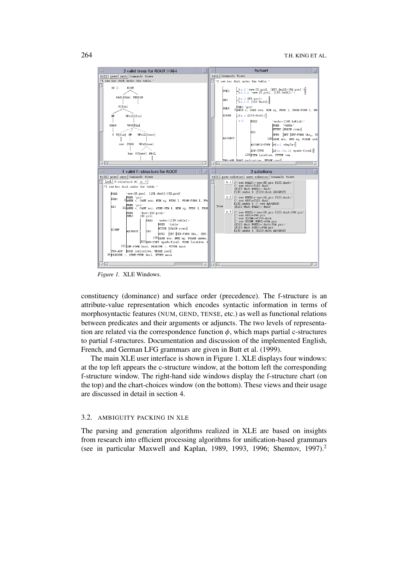

*Figure 1.* XLE Windows.

constituency (dominance) and surface order (precedence). The f-structure is an attribute-value representation which encodes syntactic information in terms of morphosyntactic features (NUM, GEND, TENSE, etc.) as well as functional relations between predicates and their arguments or adjuncts. The two levels of representation are related via the correspondence function  $\phi$ , which maps partial c-structures to partial f-structures. Documentation and discussion of the implemented English, French, and German LFG grammars are given in Butt et al. (1999).

The main XLE user interface is shown in Figure 1. XLE displays four windows: at the top left appears the c-structure window, at the bottom left the corresponding f-structure window. The right-hand side windows display the f-structure chart (on the top) and the chart-choices window (on the bottom). These views and their usage are discussed in detail in section 4.

# 3.2. AMBIGUITY PACKING IN XLE

The parsing and generation algorithms realized in XLE are based on insights from research into efficient processing algorithms for unification-based grammars (see in particular Maxwell and Kaplan, 1989, 1993, 1996; Shemtov, 1997).<sup>2</sup>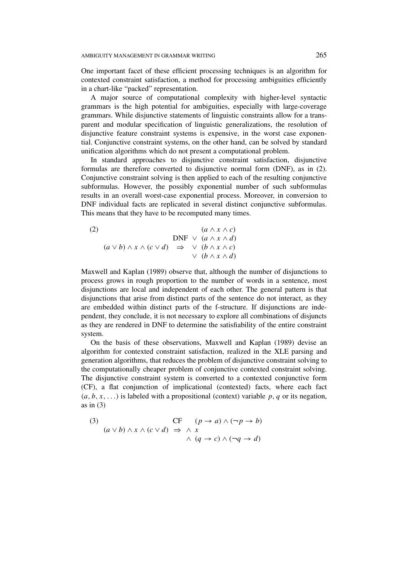One important facet of these efficient processing techniques is an algorithm for contexted constraint satisfaction, a method for processing ambiguities efficiently in a chart-like "packed" representation.

A major source of computational complexity with higher-level syntactic grammars is the high potential for ambiguities, especially with large-coverage grammars. While disjunctive statements of linguistic constraints allow for a transparent and modular specification of linguistic generalizations, the resolution of disjunctive feature constraint systems is expensive, in the worst case exponential. Conjunctive constraint systems, on the other hand, can be solved by standard unification algorithms which do not present a computational problem.

In standard approaches to disjunctive constraint satisfaction, disjunctive formulas are therefore converted to disjunctive normal form (DNF), as in (2). Conjunctive constraint solving is then applied to each of the resulting conjunctive subformulas. However, the possibly exponential number of such subformulas results in an overall worst-case exponential process. Moreover, in conversion to DNF individual facts are replicated in several distinct conjunctive subformulas. This means that they have to be recomputed many times.

(2)  
\n
$$
(a \wedge x \wedge c)
$$
\n
$$
(a \vee b) \wedge x \wedge (c \vee d) \Rightarrow \vee (b \wedge x \wedge d)
$$
\n
$$
\vee (b \wedge x \wedge d)
$$
\n
$$
\vee (b \wedge x \wedge d)
$$

Maxwell and Kaplan (1989) observe that, although the number of disjunctions to process grows in rough proportion to the number of words in a sentence, most disjunctions are local and independent of each other. The general pattern is that disjunctions that arise from distinct parts of the sentence do not interact, as they are embedded within distinct parts of the f-structure. If disjunctions are independent, they conclude, it is not necessary to explore all combinations of disjuncts as they are rendered in DNF to determine the satisfiability of the entire constraint system.

On the basis of these observations, Maxwell and Kaplan (1989) devise an algorithm for contexted constraint satisfaction, realized in the XLE parsing and generation algorithms, that reduces the problem of disjunctive constraint solving to the computationally cheaper problem of conjunctive contexted constraint solving. The disjunctive constraint system is converted to a contexted conjunctive form (CF), a flat conjunction of implicational (contexted) facts, where each fact  $(a, b, x, \ldots)$  is labeled with a propositional (context) variable *p*, *q* or its negation, as in  $(3)$ 

(3)  
\n
$$
(a \lor b) \land x \land (c \lor d) \implies \land x
$$
\n
$$
\land (q \to c) \land (\neg q \to d)
$$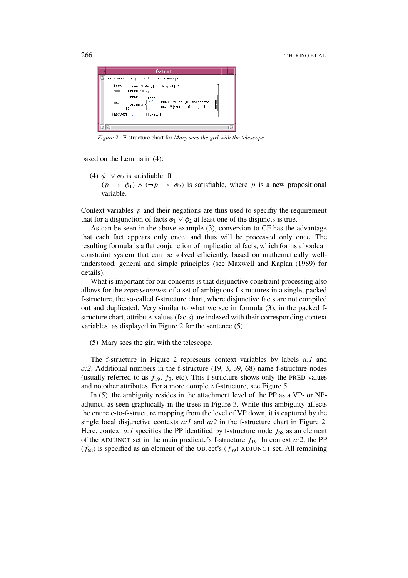| fschart<br>п                                                                                                                                                         |
|----------------------------------------------------------------------------------------------------------------------------------------------------------------------|
| "Mary sees the qirl with the telescope."                                                                                                                             |
| PRED<br>$\text{'see} \in [3:\texttt{Mary}], [39:\texttt{qirl}]$ >'<br>3PRED 'Mary'<br><b>SUBJ</b><br><b>PRED</b><br>'girl'                                           |
| $\begin{bmatrix} a:2 & pRED & 'with([84:telescope])' \\ 68 & 0BJ & 84[pRED & 'telescope'] \end{bmatrix}$<br>ADJUNCT<br>OBJ<br>39<br>19 ADJUNCT $(a_1 1 \t[68:with])$ |
|                                                                                                                                                                      |

*Figure 2.* F-structure chart for *Mary sees the girl with the telescope*.

based on the Lemma in (4):

(4)  $\phi_1 \vee \phi_2$  is satisfiable iff  $(p \rightarrow \phi_1) \land (\neg p \rightarrow \phi_2)$  is satisfiable, where *p* is a new propositional variable.

Context variables  $p$  and their negations are thus used to specifiy the requirement that for a disjunction of facts  $\phi_1 \lor \phi_2$  at least one of the disjuncts is true.

As can be seen in the above example (3), conversion to CF has the advantage that each fact appears only once, and thus will be processed only once. The resulting formula is a flat conjunction of implicational facts, which forms a boolean constraint system that can be solved efficiently, based on mathematically wellunderstood, general and simple principles (see Maxwell and Kaplan (1989) for details).

What is important for our concerns is that disjunctive constraint processing also allows for the *representation* of a set of ambiguous f-structures in a single, packed f-structure, the so-called f-structure chart, where disjunctive facts are not compiled out and duplicated. Very similar to what we see in formula (3), in the packed fstructure chart, attribute-values (facts) are indexed with their corresponding context variables, as displayed in Figure 2 for the sentence (5).

(5) Mary sees the girl with the telescope.

The f-structure in Figure 2 represents context variables by labels *a:1* and *a:2*. Additional numbers in the f-structure (19, 3, 39, 68) name f-structure nodes (usually referred to as  $f_{19}$ ,  $f_3$ , etc). This f-structure shows only the PRED values and no other attributes. For a more complete f-structure, see Figure 5.

In (5), the ambiguity resides in the attachment level of the PP as a VP- or NPadjunct, as seen graphically in the trees in Figure 3. While this ambiguity affects the entire c-to-f-structure mapping from the level of VP down, it is captured by the single local disjunctive contexts *a:1* and *a:2* in the f-structure chart in Figure 2. Here, context  $a:1$  specifies the PP identified by f-structure node  $f_{68}$  as an element of the ADJUNCT set in the main predicate's f-structure  $f_{19}$ . In context *a*:2, the PP  $(f_{68})$  is specified as an element of the OBJect's  $(f_{39})$  ADJUNCT set. All remaining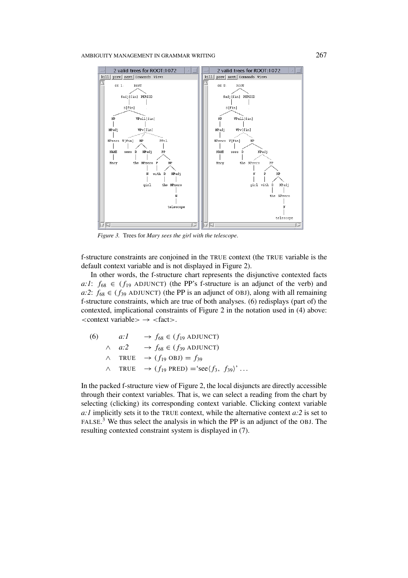

*Figure 3.* Trees for *Mary sees the girl with the telescope*.

f-structure constraints are conjoined in the TRUE context (the TRUE variable is the default context variable and is not displayed in Figure 2).

In other words, the f-structure chart represents the disjunctive contexted facts *a:1*:  $f_{68} \in (f_{19} \text{ ADJUNCT})$  (the PP's f-structure is an adjunct of the verb) and  $a:2: f_{68} \in (f_{39} \text{ ADJUNCT})$  (the PP is an adjunct of OBJ), along with all remaining f-structure constraints, which are true of both analyses. (6) redisplays (part of) the contexted, implicational constraints of Figure 2 in the notation used in (4) above: *<*context variable*>* → *<*fact*>*.

(6) 
$$
a:1 \rightarrow f_{68} \in (f_{19} \text{ ADJUNCT})
$$
  
\n $\wedge$   $a:2 \rightarrow f_{68} \in (f_{39} \text{ ADJUNCT})$   
\n $\wedge$  TRUE  $\rightarrow (f_{19} \text{ OBJ}) = f_{39}$   
\n $\wedge$  TRUE  $\rightarrow (f_{19} \text{ PRED}) = \text{see} \langle f_3, f_{39} \rangle^{\prime} \dots$ 

In the packed f-structure view of Figure 2, the local disjuncts are directly accessible through their context variables. That is, we can select a reading from the chart by selecting (clicking) its corresponding context variable. Clicking context variable *a:1* implicitly sets it to the TRUE context, while the alternative context *a:2* is set to FALSE.<sup>3</sup> We thus select the analysis in which the PP is an adjunct of the OBJ. The resulting contexted constraint system is displayed in (7).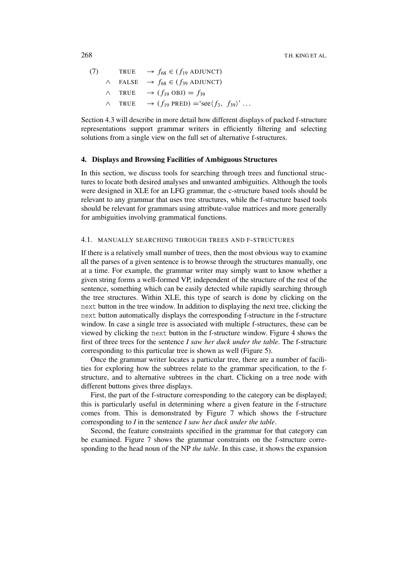(7) TRUE 
$$
\rightarrow f_{68} \in (f_{19} \text{ ADJUNCT})
$$
  
\n $\land \text{ FALSE } \rightarrow f_{68} \in (f_{39} \text{ ADJUNCT})$   
\n $\land \text{ TRUE } \rightarrow (f_{19} \text{ OBJ}) = f_{39}$   
\n $\land \text{TRUE } \rightarrow (f_{19} \text{ PRED}) = \text{see} \langle f_3, f_{39} \rangle \text{ ...}$ 

Section 4.3 will describe in more detail how different displays of packed f-structure representations support grammar writers in efficiently filtering and selecting solutions from a single view on the full set of alternative f-structures.

#### **4. Displays and Browsing Facilities of Ambiguous Structures**

In this section, we discuss tools for searching through trees and functional structures to locate both desired analyses and unwanted ambiguities. Although the tools were designed in XLE for an LFG grammar, the c-structure based tools should be relevant to any grammar that uses tree structures, while the f-structure based tools should be relevant for grammars using attribute-value matrices and more generally for ambiguities involving grammatical functions.

## 4.1. MANUALLY SEARCHING THROUGH TREES AND F-STRUCTURES

If there is a relatively small number of trees, then the most obvious way to examine all the parses of a given sentence is to browse through the structures manually, one at a time. For example, the grammar writer may simply want to know whether a given string forms a well-formed VP, independent of the structure of the rest of the sentence, something which can be easily detected while rapidly searching through the tree structures. Within XLE, this type of search is done by clicking on the next button in the tree window. In addition to displaying the next tree, clicking the next button automatically displays the corresponding f-structure in the f-structure window. In case a single tree is associated with multiple f-structures, these can be viewed by clicking the next button in the f-structure window. Figure 4 shows the first of three trees for the sentence *I saw her duck under the table*. The f-structure corresponding to this particular tree is shown as well (Figure 5).

Once the grammar writer locates a particular tree, there are a number of facilities for exploring how the subtrees relate to the grammar specification, to the fstructure, and to alternative subtrees in the chart. Clicking on a tree node with different buttons gives three displays.

First, the part of the f-structure corresponding to the category can be displayed; this is particularly useful in determining where a given feature in the f-structure comes from. This is demonstrated by Figure 7 which shows the f-structure corresponding to *I* in the sentence *I saw her duck under the table*.

Second, the feature constraints specified in the grammar for that category can be examined. Figure 7 shows the grammar constraints on the f-structure corresponding to the head noun of the NP *the table*. In this case, it shows the expansion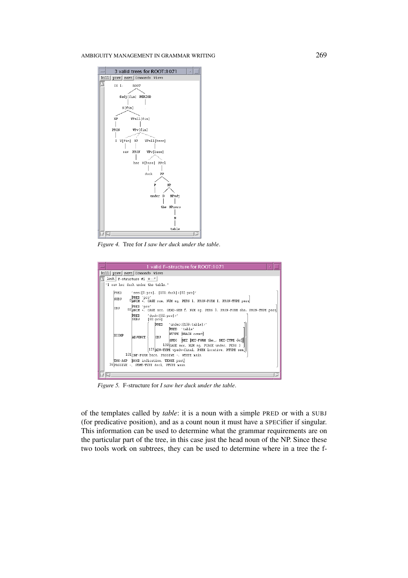

*Figure 4.* Tree for *I saw her duck under the table*.



*Figure 5.* F-structure for *I saw her duck under the table*.

of the templates called by *table*: it is a noun with a simple PRED or with a SUBJ (for predicative position), and as a count noun it must have a SPECifier if singular. This information can be used to determine what the grammar requirements are on the particular part of the tree, in this case just the head noun of the NP. Since these two tools work on subtrees, they can be used to determine where in a tree the f-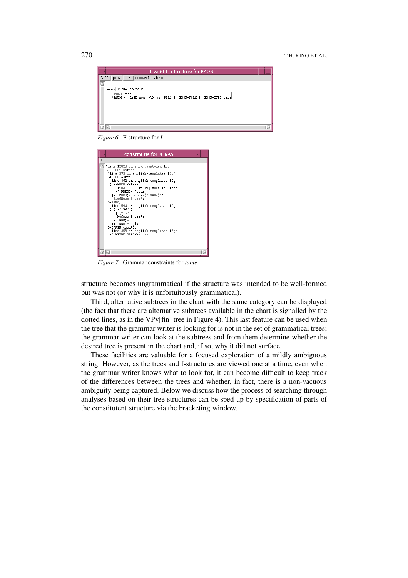

*Figure 6.* F-structure for *I*.



*Figure 7.* Grammar constraints for *table*.

structure becomes ungrammatical if the structure was intended to be well-formed but was not (or why it is unfortuitously grammatical).

Third, alternative subtrees in the chart with the same category can be displayed (the fact that there are alternative subtrees available in the chart is signalled by the dotted lines, as in the VPv[fin] tree in Figure 4). This last feature can be used when the tree that the grammar writer is looking for is not in the set of grammatical trees; the grammar writer can look at the subtrees and from them determine whether the desired tree is present in the chart and, if so, why it did not surface.

These facilities are valuable for a focused exploration of a mildly ambiguous string. However, as the trees and f-structures are viewed one at a time, even when the grammar writer knows what to look for, it can become difficult to keep track of the differences between the trees and whether, in fact, there is a non-vacuous ambiguity being captured. Below we discuss how the process of searching through analyses based on their tree-structures can be sped up by specification of parts of the constitutent structure via the bracketing window.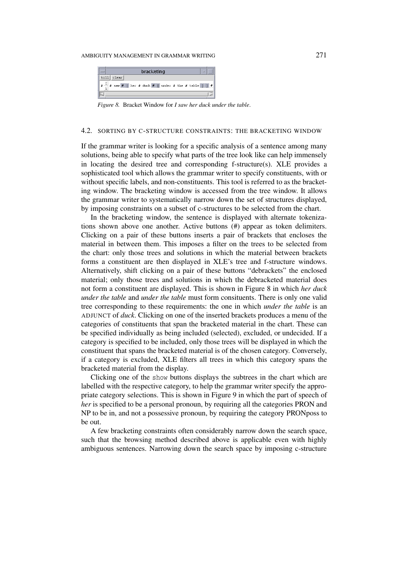| bracketing                                                       | u |
|------------------------------------------------------------------|---|
| kill<br>clear                                                    |   |
| $\frac{1}{x}$ # saw # [ her # duck # [ under # the # table ] ] # |   |
|                                                                  |   |

*Figure 8.* Bracket Window for *I saw her duck under the table*.

#### 4.2. SORTING BY C-STRUCTURE CONSTRAINTS: THE BRACKETING WINDOW

If the grammar writer is looking for a specific analysis of a sentence among many solutions, being able to specify what parts of the tree look like can help immensely in locating the desired tree and corresponding f-structure(s). XLE provides a sophisticated tool which allows the grammar writer to specify constituents, with or without specific labels, and non-constituents. This tool is referred to as the bracketing window. The bracketing window is accessed from the tree window. It allows the grammar writer to systematically narrow down the set of structures displayed, by imposing constraints on a subset of c-structures to be selected from the chart.

In the bracketing window, the sentence is displayed with alternate tokenizations shown above one another. Active buttons (#) appear as token delimiters. Clicking on a pair of these buttons inserts a pair of brackets that encloses the material in between them. This imposes a filter on the trees to be selected from the chart: only those trees and solutions in which the material between brackets forms a constituent are then displayed in XLE's tree and f-structure windows. Alternatively, shift clicking on a pair of these buttons "debrackets" the enclosed material; only those trees and solutions in which the debracketed material does not form a constituent are displayed. This is shown in Figure 8 in which *her duck under the table* and *under the table* must form consituents. There is only one valid tree corresponding to these requirements: the one in which *under the table* is an ADJUNCT of *duck*. Clicking on one of the inserted brackets produces a menu of the categories of constituents that span the bracketed material in the chart. These can be specified individually as being included (selected), excluded, or undecided. If a category is specified to be included, only those trees will be displayed in which the constituent that spans the bracketed material is of the chosen category. Conversely, if a category is excluded, XLE filters all trees in which this category spans the bracketed material from the display.

Clicking one of the show buttons displays the subtrees in the chart which are labelled with the respective category, to help the grammar writer specify the appropriate category selections. This is shown in Figure 9 in which the part of speech of *her* is specified to be a personal pronoun, by requiring all the categories PRON and NP to be in, and not a possessive pronoun, by requiring the category PRONposs to be out.

A few bracketing constraints often considerably narrow down the search space, such that the browsing method described above is applicable even with highly ambiguous sentences. Narrowing down the search space by imposing c-structure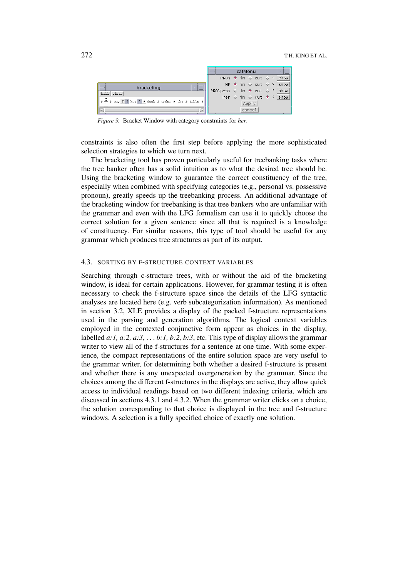|                                                | catMenu<br>-                                     |  |  |  |  |  |                                                          |
|------------------------------------------------|--------------------------------------------------|--|--|--|--|--|----------------------------------------------------------|
|                                                |                                                  |  |  |  |  |  | PRON $\bullet$ in $\diamond$ out $\diamond$ ? show       |
| bracketing<br>u                                |                                                  |  |  |  |  |  | NP $\bullet$ in $\diamondsuit$ out $\diamondsuit$ ? show |
| kill clear                                     | PRONposs $\sqrt{ }$ in $*$ out $\sqrt{ }$ ? show |  |  |  |  |  |                                                          |
|                                                |                                                  |  |  |  |  |  | her $\Diamond$ in $\Diamond$ out $\blacklozenge$ ? show  |
| # saw # [ her ] # duck # under # the # table # | Apply                                            |  |  |  |  |  |                                                          |
|                                                | cancel                                           |  |  |  |  |  |                                                          |

*Figure 9.* Bracket Window with category constraints for *her*.

constraints is also often the first step before applying the more sophisticated selection strategies to which we turn next.

The bracketing tool has proven particularly useful for treebanking tasks where the tree banker often has a solid intuition as to what the desired tree should be. Using the bracketing window to guarantee the correct constituency of the tree, especially when combined with specifying categories (e.g., personal vs. possessive pronoun), greatly speeds up the treebanking process. An additional advantage of the bracketing window for treebanking is that tree bankers who are unfamiliar with the grammar and even with the LFG formalism can use it to quickly choose the correct solution for a given sentence since all that is required is a knowledge of constituency. For similar reasons, this type of tool should be useful for any grammar which produces tree structures as part of its output.

## 4.3. SORTING BY F-STRUCTURE CONTEXT VARIABLES

Searching through c-structure trees, with or without the aid of the bracketing window, is ideal for certain applications. However, for grammar testing it is often necessary to check the f-structure space since the details of the LFG syntactic analyses are located here (e.g. verb subcategorization information). As mentioned in section 3.2, XLE provides a display of the packed f-structure representations used in the parsing and generation algorithms. The logical context variables employed in the contexted conjunctive form appear as choices in the display, labelled *a:1, a:2, a:3*, *... b:1, b:2, b:3*, etc. This type of display allows the grammar writer to view all of the f-structures for a sentence at one time. With some experience, the compact representations of the entire solution space are very useful to the grammar writer, for determining both whether a desired f-structure is present and whether there is any unexpected overgeneration by the grammar. Since the choices among the different f-structures in the displays are active, they allow quick access to individual readings based on two different indexing criteria, which are discussed in sections 4.3.1 and 4.3.2. When the grammar writer clicks on a choice, the solution corresponding to that choice is displayed in the tree and f-structure windows. A selection is a fully specified choice of exactly one solution.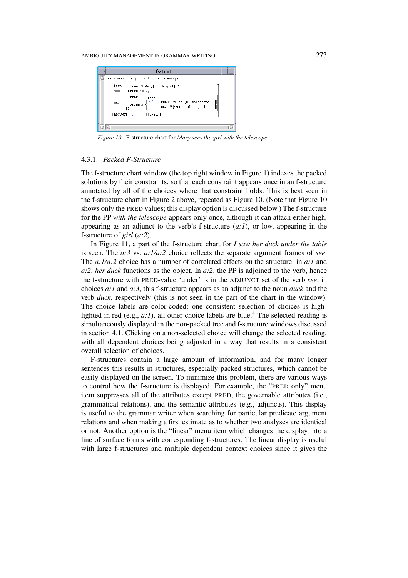| fschart<br>n.<br>$-$                                                                                                                                                                                                                                    |
|---------------------------------------------------------------------------------------------------------------------------------------------------------------------------------------------------------------------------------------------------------|
| "Mary sees the qirl with the telescope."                                                                                                                                                                                                                |
| PRED<br>'see<[3:Mary], [39:qirl]>'<br>3PRED 'Mary']<br>SUBJ<br>PRED<br>'qirl'<br>$\begin{bmatrix} a:2 & pRED & 'with([84:telescope])' \\ 68 & 0BJ & 84[pRED & 'telescope'] \end{bmatrix}$<br>ADJUNCT {<br>OBJ<br>39<br>19 ADJUNCT $(a_1 1 \t[68:with])$ |
|                                                                                                                                                                                                                                                         |

*Figure 10.* F-structure chart for *Mary sees the girl with the telescope*.

#### 4.3.1. *Packed F-Structure*

The f-structure chart window (the top right window in Figure 1) indexes the packed solutions by their constraints, so that each constraint appears once in an f-structure annotated by all of the choices where that constraint holds. This is best seen in the f-structure chart in Figure 2 above, repeated as Figure 10. (Note that Figure 10 shows only the PRED values; this display option is discussed below.) The f-structure for the PP *with the telescope* appears only once, although it can attach either high, appearing as an adjunct to the verb's f-structure (*a:1*), or low, appearing in the f-structure of *girl* (*a:2*).

In Figure 11, a part of the f-structure chart for *I saw her duck under the table* is seen. The *a:3* vs. *a:1/a:2* choice reflects the separate argument frames of *see*. The *a:1/a:2* choice has a number of correlated effects on the structure: in *a:1* and *a:2*, *her duck* functions as the object. In *a:2*, the PP is adjoined to the verb, hence the f-structure with PRED-value 'under' is in the ADJUNCT set of the verb *see*; in choices *a:1* and *a:3*, this f-structure appears as an adjunct to the noun *duck* and the verb *duck*, respectively (this is not seen in the part of the chart in the window). The choice labels are color-coded: one consistent selection of choices is highlighted in red (e.g.,  $a:1$ ), all other choice labels are blue.<sup>4</sup> The selected reading is simultaneously displayed in the non-packed tree and f-structure windows discussed in section 4.1. Clicking on a non-selected choice will change the selected reading, with all dependent choices being adjusted in a way that results in a consistent overall selection of choices.

F-structures contain a large amount of information, and for many longer sentences this results in structures, especially packed structures, which cannot be easily displayed on the screen. To minimize this problem, there are various ways to control how the f-structure is displayed. For example, the "PRED only" menu item suppresses all of the attributes except PRED, the governable attributes (i.e., grammatical relations), and the semantic attributes (e.g., adjuncts). This display is useful to the grammar writer when searching for particular predicate argument relations and when making a first estimate as to whether two analyses are identical or not. Another option is the "linear" menu item which changes the display into a line of surface forms with corresponding f-structures. The linear display is useful with large f-structures and multiple dependent context choices since it gives the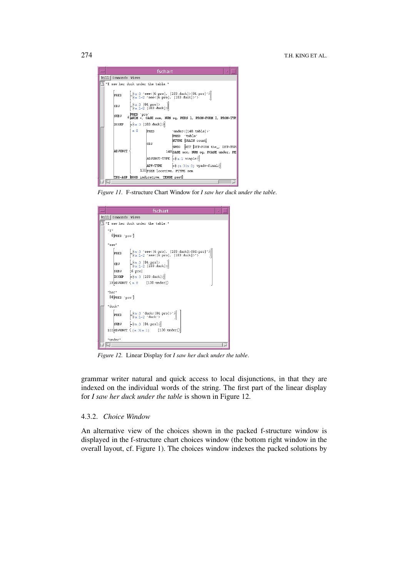|                              | fschart                                                                                                                                                                                                                                                                                                                                                                                                                                                                                                    |
|------------------------------|------------------------------------------------------------------------------------------------------------------------------------------------------------------------------------------------------------------------------------------------------------------------------------------------------------------------------------------------------------------------------------------------------------------------------------------------------------------------------------------------------------|
| kill  Commands Views         |                                                                                                                                                                                                                                                                                                                                                                                                                                                                                                            |
|                              | "I saw her duck under the table."                                                                                                                                                                                                                                                                                                                                                                                                                                                                          |
| PRED<br>OBJ<br>SUBJ<br>XCOMP | $\left[ \begin{matrix} \zeta_{3:3} & \text{see}(\{6: \text{pro}\}, & [103: \text{duck}] > [84: \text{pro}] \end{matrix} \right] \right]$<br>$\left[ \begin{matrix} \zeta_{3:1-2} & \text{see}(\{6: \text{pro}\}, & [103: \text{duck}] > \end{matrix} \right]$<br>$\left[ = \begin{cases} \n\text{ka}:3 & [84:\text{proj} \rangle \\ \n\text{ka}:1-2 & [103:\text{duck}] \n\end{cases} \right]$<br>PRED 'pro'<br>6ANIM +, CASE nom, NUM sg, PERS 1, PRON-FORM I, PRON-TYP<br>$=$ $(k_{a}:3$ [103 : duck] >] |
| <b>ADJUNCT</b>               | a:2<br>PRED<br>'under<[140:table]>'<br>PRED 'table'<br>NTYPE GRAIN count]<br>loв.т<br>SPEC DET DET-FORM the_, DET-TYPI<br>140 CASE acc, NUM sg, PCASE under, PE<br>$\texttt{ADJUNCT-TYPE}$ = $(k_{a:1} \text{ simple})$<br>$ADV-TYPE$ = $\left[=(\{(a:3 a:2)\text{ vpadv-final})\right]$<br>130 PSEM locative, PTYPE sem                                                                                                                                                                                   |
|                              | TNS-ASP MOOD indicative, TENSE past                                                                                                                                                                                                                                                                                                                                                                                                                                                                        |
|                              |                                                                                                                                                                                                                                                                                                                                                                                                                                                                                                            |

*Figure 11.* F-structure Chart Window for *I saw her duck under the table*.

| fschart                                                                                                                               |  |
|---------------------------------------------------------------------------------------------------------------------------------------|--|
| kill  Commands Views                                                                                                                  |  |
| "I saw her duck under the table."                                                                                                     |  |
| "I"<br>6PRED 'pro'                                                                                                                    |  |
| "sav"                                                                                                                                 |  |
| 0BJ $=$ $\begin{bmatrix} k_{a:3} & [84:proj> \\ k_{a:1-2} & [103:duck] \end{bmatrix}$<br>SUBJ [6:pro]<br>$XCOMP = [(a:3 [103:duck])]$ |  |
| 37 $\text{ADJUNCT}$ (a:2 [130:under])                                                                                                 |  |
| "her"<br>84 PRED 'pro']                                                                                                               |  |
| "duck"                                                                                                                                |  |
| <b>PRED</b> $\begin{bmatrix} \kappa_{a:3} & \text{duck} \\ \kappa_{a:1-2} & \text{duck} \end{bmatrix}$                                |  |
| SUBJ $= (6a:3 [84:proj])$                                                                                                             |  |
| 103 ADJUNCT $\langle a:3 a:1 \rangle$ [130: under])                                                                                   |  |
| "under"                                                                                                                               |  |
|                                                                                                                                       |  |

*Figure 12.* Linear Display for *I saw her duck under the table*.

grammar writer natural and quick access to local disjunctions, in that they are indexed on the individual words of the string. The first part of the linear display for *I saw her duck under the table* is shown in Figure 12.

# 4.3.2. *Choice Window*

An alternative view of the choices shown in the packed f-structure window is displayed in the f-structure chart choices window (the bottom right window in the overall layout, cf. Figure 1). The choices window indexes the packed solutions by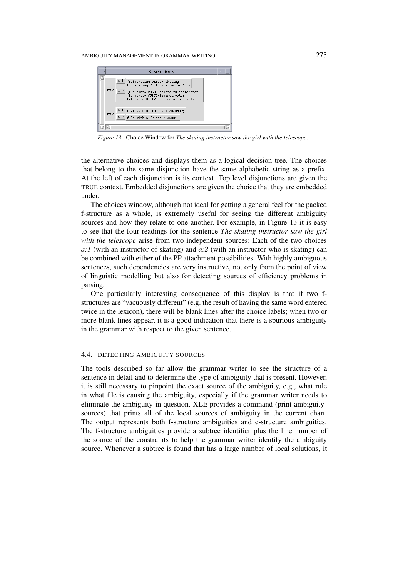

*Figure 13.* Choice Window for *The skating instructor saw the girl with the telescope*.

the alternative choices and displays them as a logical decision tree. The choices that belong to the same disjunction have the same alphabetic string as a prefix. At the left of each disjunction is its context. Top level disjunctions are given the TRUE context. Embedded disjunctions are given the choice that they are embedded under.

The choices window, although not ideal for getting a general feel for the packed f-structure as a whole, is extremely useful for seeing the different ambiguity sources and how they relate to one another. For example, in Figure 13 it is easy to see that the four readings for the sentence *The skating instructor saw the girl with the telescope* arise from two independent sources: Each of the two choices *a:1* (with an instructor of skating) and *a:2* (with an instructor who is skating) can be combined with either of the PP attachment possibilities. With highly ambiguous sentences, such dependencies are very instructive, not only from the point of view of linguistic modelling but also for detecting sources of efficiency problems in parsing.

One particularly interesting consequence of this display is that if two fstructures are "vacuously different" (e.g. the result of having the same word entered twice in the lexicon), there will be blank lines after the choice labels; when two or more blank lines appear, it is a good indication that there is a spurious ambiguity in the grammar with respect to the given sentence.

## 4.4. DETECTING AMBIGUITY SOURCES

The tools described so far allow the grammar writer to see the structure of a sentence in detail and to determine the type of ambiguity that is present. However, it is still necessary to pinpoint the exact source of the ambiguity, e.g., what rule in what file is causing the ambiguity, especially if the grammar writer needs to eliminate the ambiguity in question. XLE provides a command (print-ambiguitysources) that prints all of the local sources of ambiguity in the current chart. The output represents both f-structure ambiguities and c-structure ambiguities. The f-structure ambiguities provide a subtree identifier plus the line number of the source of the constraints to help the grammar writer identify the ambiguity source. Whenever a subtree is found that has a large number of local solutions, it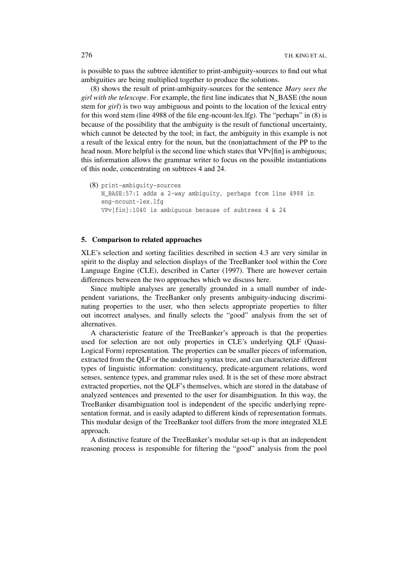is possible to pass the subtree identifier to print-ambiguity-sources to find out what ambiguities are being multiplied together to produce the solutions.

(8) shows the result of print-ambiguity-sources for the sentence *Mary sees the girl with the telescope*. For example, the first line indicates that N\_BASE (the noun stem for *girl*) is two way ambiguous and points to the location of the lexical entry for this word stem (line 4988 of the file eng-ncount-lex.lfg). The "perhaps" in (8) is because of the possibility that the ambiguity is the result of functional uncertainty, which cannot be detected by the tool; in fact, the ambiguity in this example is not a result of the lexical entry for the noun, but the (non)attachment of the PP to the head noun. More helpful is the second line which states that VPv[fin] is ambiguous; this information allows the grammar writer to focus on the possible instantiations of this node, concentrating on subtrees 4 and 24.

```
(8) print-ambiguity-sources
   N_BASE:57:1 adds a 2-way ambiguity, perhaps from line 4988 in
   eng-ncount-lex.lfg
   VPv[fin]:1040 is ambiguous because of subtrees 4 & 24
```
## **5. Comparison to related approaches**

XLE's selection and sorting facilities described in section 4.3 are very similar in spirit to the display and selection displays of the TreeBanker tool within the Core Language Engine (CLE), described in Carter (1997). There are however certain differences between the two approaches which we discuss here.

Since multiple analyses are generally grounded in a small number of independent variations, the TreeBanker only presents ambiguity-inducing discriminating properties to the user, who then selects appropriate properties to filter out incorrect analyses, and finally selects the "good" analysis from the set of alternatives.

A characteristic feature of the TreeBanker's approach is that the properties used for selection are not only properties in CLE's underlying QLF (Quasi-Logical Form) representation. The properties can be smaller pieces of information, extracted from the QLF or the underlying syntax tree, and can characterize different types of linguistic information: constituency, predicate-argument relations, word senses, sentence types, and grammar rules used. It is the set of these more abstract extracted properties, not the QLF's themselves, which are stored in the database of analyzed sentences and presented to the user for disambiguation. In this way, the TreeBanker disambiguation tool is independent of the specific underlying representation format, and is easily adapted to different kinds of representation formats. This modular design of the TreeBanker tool differs from the more integrated XLE approach.

A distinctive feature of the TreeBanker's modular set-up is that an independent reasoning process is responsible for filtering the "good" analysis from the pool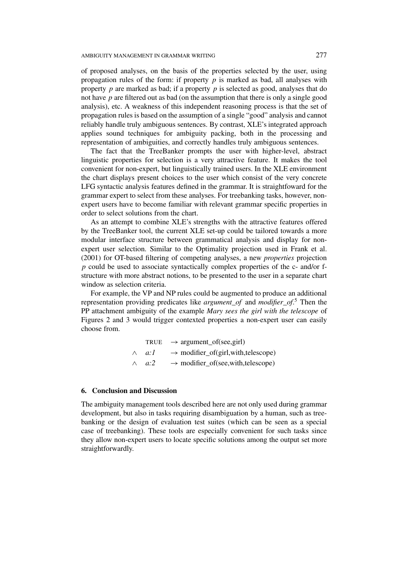of proposed analyses, on the basis of the properties selected by the user, using propagation rules of the form: if property *p* is marked as bad, all analyses with property *p* are marked as bad; if a property *p* is selected as good, analyses that do not have *p* are filtered out as bad (on the assumption that there is only a single good analysis), etc. A weakness of this independent reasoning process is that the set of propagation rules is based on the assumption of a single "good" analysis and cannot reliably handle truly ambiguous sentences. By contrast, XLE's integrated approach applies sound techniques for ambiguity packing, both in the processing and representation of ambiguities, and correctly handles truly ambiguous sentences.

The fact that the TreeBanker prompts the user with higher-level, abstract linguistic properties for selection is a very attractive feature. It makes the tool convenient for non-expert, but linguistically trained users. In the XLE environment the chart displays present choices to the user which consist of the very concrete LFG syntactic analysis features defined in the grammar. It is straightfoward for the grammar expert to select from these analyses. For treebanking tasks, however, nonexpert users have to become familiar with relevant grammar specific properties in order to select solutions from the chart.

As an attempt to combine XLE's strengths with the attractive features offered by the TreeBanker tool, the current XLE set-up could be tailored towards a more modular interface structure between grammatical analysis and display for nonexpert user selection. Similar to the Optimality projection used in Frank et al. (2001) for OT-based filtering of competing analyses, a new *properties* projection *p* could be used to associate syntactically complex properties of the c- and/or fstructure with more abstract notions, to be presented to the user in a separate chart window as selection criteria.

For example, the VP and NP rules could be augmented to produce an additional representation providing predicates like *argument\_of* and *modifier\_of*. <sup>5</sup> Then the PP attachment ambiguity of the example *Mary sees the girl with the telescope* of Figures 2 and 3 would trigger contexted properties a non-expert user can easily choose from.

\n
$$
\text{TRUE} \rightarrow \text{argument_of}(\text{see}, \text{girl})
$$
\n  
\n $\land \quad a: l \rightarrow \text{modifier_of}(\text{girl}, \text{with}, \text{telescope})$ \n  
\n $\land \quad a: 2 \rightarrow \text{modifier_of}(\text{see}, \text{with}, \text{telescope})$ \n

#### **6. Conclusion and Discussion**

The ambiguity management tools described here are not only used during grammar development, but also in tasks requiring disambiguation by a human, such as treebanking or the design of evaluation test suites (which can be seen as a special case of treebanking). These tools are especially convenient for such tasks since they allow non-expert users to locate specific solutions among the output set more straightforwardly.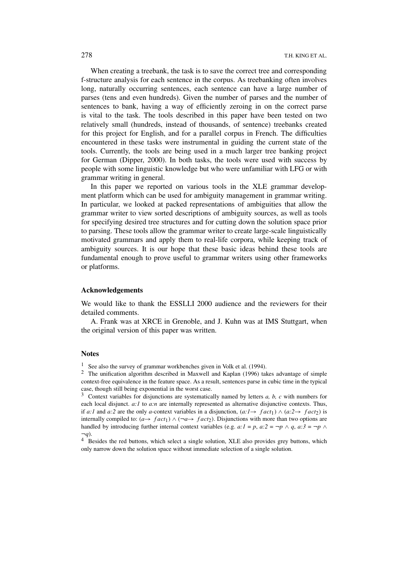When creating a treebank, the task is to save the correct tree and corresponding f-structure analysis for each sentence in the corpus. As treebanking often involves long, naturally occurring sentences, each sentence can have a large number of parses (tens and even hundreds). Given the number of parses and the number of sentences to bank, having a way of efficiently zeroing in on the correct parse is vital to the task. The tools described in this paper have been tested on two relatively small (hundreds, instead of thousands, of sentence) treebanks created for this project for English, and for a parallel corpus in French. The difficulties encountered in these tasks were instrumental in guiding the current state of the tools. Currently, the tools are being used in a much larger tree banking project for German (Dipper, 2000). In both tasks, the tools were used with success by people with some linguistic knowledge but who were unfamiliar with LFG or with grammar writing in general.

In this paper we reported on various tools in the XLE grammar development platform which can be used for ambiguity management in grammar writing. In particular, we looked at packed representations of ambiguities that allow the grammar writer to view sorted descriptions of ambiguity sources, as well as tools for specifying desired tree structures and for cutting down the solution space prior to parsing. These tools allow the grammar writer to create large-scale linguistically motivated grammars and apply them to real-life corpora, while keeping track of ambiguity sources. It is our hope that these basic ideas behind these tools are fundamental enough to prove useful to grammar writers using other frameworks or platforms.

#### **Acknowledgements**

We would like to thank the ESSLLI 2000 audience and the reviewers for their detailed comments.

A. Frank was at XRCE in Grenoble, and J. Kuhn was at IMS Stuttgart, when the original version of this paper was written.

#### **Notes**

<sup>1</sup> See also the survey of grammar workbenches given in Volk et al. (1994).

 $3^3$  Context variables for disjunctions are systematically named by letters *a, b, c* with numbers for each local disjunct. *a:1* to *a:n* are internally represented as alternative disjunctive contexts. Thus, if *a:1* and *a:2* are the only *a*-context variables in a disjunction,  $(a:1 \rightarrow \text{fact}_1) \land (a:2 \rightarrow \text{fact}_2)$  is internally compiled to:  $(a \rightarrow fact_1) \wedge (\neg a \rightarrow fact_2)$ . Disjunctions with more than two options are handled by introducing further internal context variables (e.g.  $a:1 = p$ ,  $a:2 = \neg p \land q$ ,  $a:3 = \neg p \land q$ ¬*q*).

<sup>4</sup> Besides the red buttons, which select a single solution, XLE also provides grey buttons, which only narrow down the solution space without immediate selection of a single solution.

<sup>2</sup> The unification algorithm described in Maxwell and Kaplan (1996) takes advantage of simple context-free equivalence in the feature space. As a result, sentences parse in cubic time in the typical case, though still being exponential in the worst case.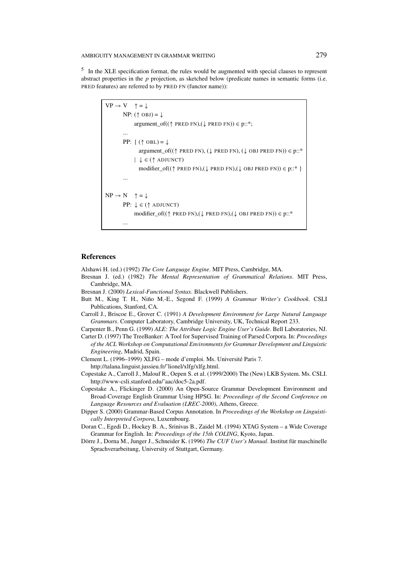<sup>5</sup> In the XLE specification format, the rules would be augmented with special clauses to represent abstract properties in the *p* projection, as sketched below (predicate names in semantic forms (i.e. PRED features) are referred to by PRED FN (functor name)):

```
VP \rightarrow V \quad \uparrow = \downarrowNP: (\uparrow OBJ) = \downarrowargument_of((\uparrow PRED FN),(\downarrow PRED FN)) \in p::*;
          ...
         PP: \{ (\uparrow OBL) = \downarrowargument_of((\uparrow PRED FN), (\downarrow PRED FN), (\downarrow OBI PRED FN)) \in p::*| ↓∈ (↑ ADJUNCT)
                  modifier_of((↑ PRED FN),(↓ PRED FN),(↓ OBJ PRED FN)) ∈ p::* }
          ...
NP \rightarrow N \uparrow = \downarrowPP: ↓ ∈ (↑ ADJUNCT)
               modifier_of((\uparrow PRED FN),(\downarrow PRED FN),(\downarrow OBJ PRED FN)) \in p::*
          ...
```
## **References**

Alshawi H. (ed.) (1992) *The Core Language Engine*. MIT Press, Cambridge, MA.

- Bresnan J. (ed.) (1982) *The Mental Representation of Grammatical Relations*. MIT Press, Cambridge, MA.
- Bresnan J. (2000) *Lexical-Functional Syntax*. Blackwell Publishers.
- Butt M., King T. H., Niño M.-E., Segond F. (1999) *A Grammar Writer's Cookbook*. CSLI Publications, Stanford, CA.
- Carroll J., Briscoe E., Grover C. (1991) *A Development Environment for Large Natural Language Grammars*. Computer Laboratory, Cambridge University, UK, Technical Report 233.
- Carpenter B., Penn G. (1999) *ALE: The Attribute Logic Engine User's Guide*. Bell Laboratories, NJ.
- Carter D. (1997) The TreeBanker: A Tool for Supervised Training of Parsed Corpora. In: *Proceedings of the ACL Workshop on Computational Environments for Grammar Development and Linguistic Engineering*, Madrid, Spain.
- Clement L. (1996–1999) XLFG mode d'emploi. Ms. Université Paris 7. http://talana.linguist.jussieu.fr/˜lionel/xlfg/xlfg.html.
- Copestake A., Carroll J., Malouf R., Oepen S. et al. (1999/2000) The (New) LKB System. Ms. CSLI. http://www-csli.stanford.edu/~aac/doc5-2a.pdf.
- Copestake A., Flickinger D. (2000) An Open-Source Grammar Development Environment and Broad-Coverage English Grammar Using HPSG. In: *Proceedings of the Second Conference on Language Resources and Evaluation (LREC-2000)*, Athens, Greece.
- Dipper S. (2000) Grammar-Based Corpus Annotation. In *Proceedings of the Workshop on Linguistically Interpreted Corpora*, Luxembourg.
- Doran C., Egedi D., Hockey B. A., Srinivas B., Zaidel M. (1994) XTAG System a Wide Coverage Grammar for English. In: *Proceedings of the 15th COLING*, Kyoto, Japan.
- Dörre J., Dorna M., Junger J., Schneider K. (1996) *The CUF User's Manual*. Institut für maschinelle Sprachverarbeitung, University of Stuttgart, Germany.